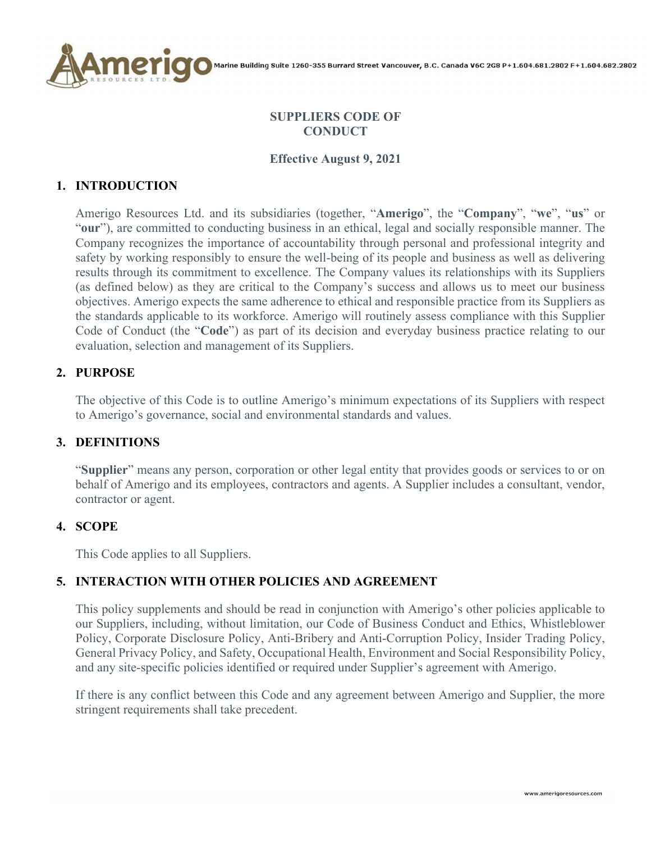

## **SUPPLIERS CODE OF CONDUCT**

#### **Effective August 9, 2021**

## **1. INTRODUCTION**

Amerigo Resources Ltd. and its subsidiaries (together, "**Amerigo**", the "**Company**", "**we**", "**us**" or "**our**"), are committed to conducting business in an ethical, legal and socially responsible manner. The Company recognizes the importance of accountability through personal and professional integrity and safety by working responsibly to ensure the well-being of its people and business as well as delivering results through its commitment to excellence. The Company values its relationships with its Suppliers (as defined below) as they are critical to the Company's success and allows us to meet our business objectives. Amerigo expects the same adherence to ethical and responsible practice from its Suppliers as the standards applicable to its workforce. Amerigo will routinely assess compliance with this Supplier Code of Conduct (the "**Code**") as part of its decision and everyday business practice relating to our evaluation, selection and management of its Suppliers.

### **2. PURPOSE**

The objective of this Code is to outline Amerigo's minimum expectations of its Suppliers with respect to Amerigo's governance, social and environmental standards and values.

### **3. DEFINITIONS**

"**Supplier**" means any person, corporation or other legal entity that provides goods or services to or on behalf of Amerigo and its employees, contractors and agents. A Supplier includes a consultant, vendor, contractor or agent.

### **4. SCOPE**

This Code applies to all Suppliers.

## **5. INTERACTION WITH OTHER POLICIES AND AGREEMENT**

This policy supplements and should be read in conjunction with Amerigo's other policies applicable to our Suppliers, including, without limitation, our Code of Business Conduct and Ethics, Whistleblower Policy, Corporate Disclosure Policy, Anti-Bribery and Anti-Corruption Policy, Insider Trading Policy, General Privacy Policy, and Safety, Occupational Health, Environment and Social Responsibility Policy, and any site-specific policies identified or required under Supplier's agreement with Amerigo.

If there is any conflict between this Code and any agreement between Amerigo and Supplier, the more stringent requirements shall take precedent.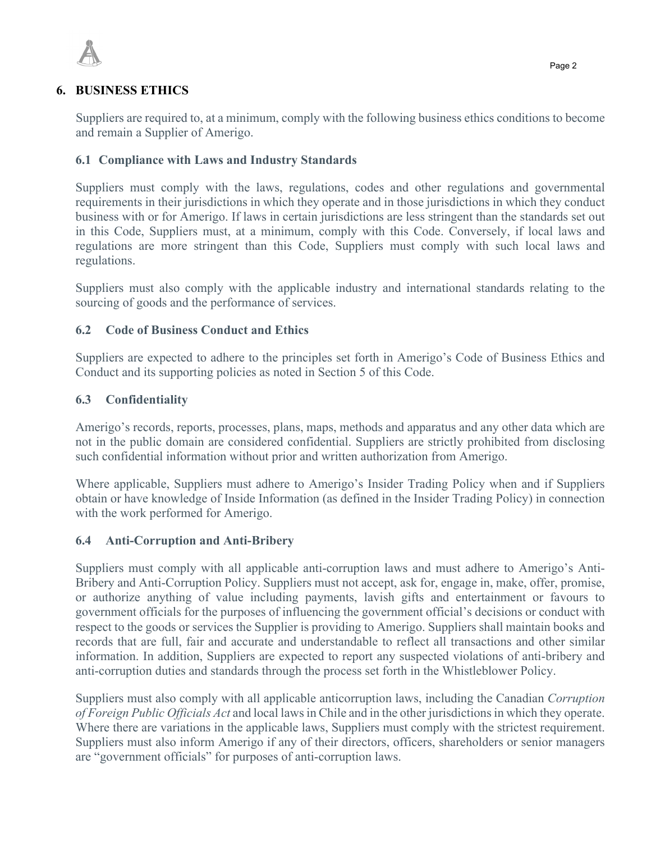

Suppliers are required to, at a minimum, comply with the following business ethics conditions to become and remain a Supplier of Amerigo.

## **6.1 Compliance with Laws and Industry Standards**

Suppliers must comply with the laws, regulations, codes and other regulations and governmental requirements in their jurisdictions in which they operate and in those jurisdictions in which they conduct business with or for Amerigo. If laws in certain jurisdictions are less stringent than the standards set out in this Code, Suppliers must, at a minimum, comply with this Code. Conversely, if local laws and regulations are more stringent than this Code, Suppliers must comply with such local laws and regulations.

Suppliers must also comply with the applicable industry and international standards relating to the sourcing of goods and the performance of services.

## **6.2 Code of Business Conduct and Ethics**

Suppliers are expected to adhere to the principles set forth in Amerigo's Code of Business Ethics and Conduct and its supporting policies as noted in Section 5 of this Code.

### **6.3 Confidentiality**

Amerigo's records, reports, processes, plans, maps, methods and apparatus and any other data which are not in the public domain are considered confidential. Suppliers are strictly prohibited from disclosing such confidential information without prior and written authorization from Amerigo.

Where applicable, Suppliers must adhere to Amerigo's Insider Trading Policy when and if Suppliers obtain or have knowledge of Inside Information (as defined in the Insider Trading Policy) in connection with the work performed for Amerigo.

### **6.4 Anti-Corruption and Anti-Bribery**

Suppliers must comply with all applicable anti-corruption laws and must adhere to Amerigo's Anti-Bribery and Anti-Corruption Policy. Suppliers must not accept, ask for, engage in, make, offer, promise, or authorize anything of value including payments, lavish gifts and entertainment or favours to government officials for the purposes of influencing the government official's decisions or conduct with respect to the goods or services the Supplier is providing to Amerigo. Suppliers shall maintain books and records that are full, fair and accurate and understandable to reflect all transactions and other similar information. In addition, Suppliers are expected to report any suspected violations of anti-bribery and anti-corruption duties and standards through the process set forth in the Whistleblower Policy.

Suppliers must also comply with all applicable anticorruption laws, including the Canadian *Corruption of Foreign Public Officials Act* and local laws in Chile and in the other jurisdictions in which they operate. Where there are variations in the applicable laws, Suppliers must comply with the strictest requirement. Suppliers must also inform Amerigo if any of their directors, officers, shareholders or senior managers are "government officials" for purposes of anti-corruption laws.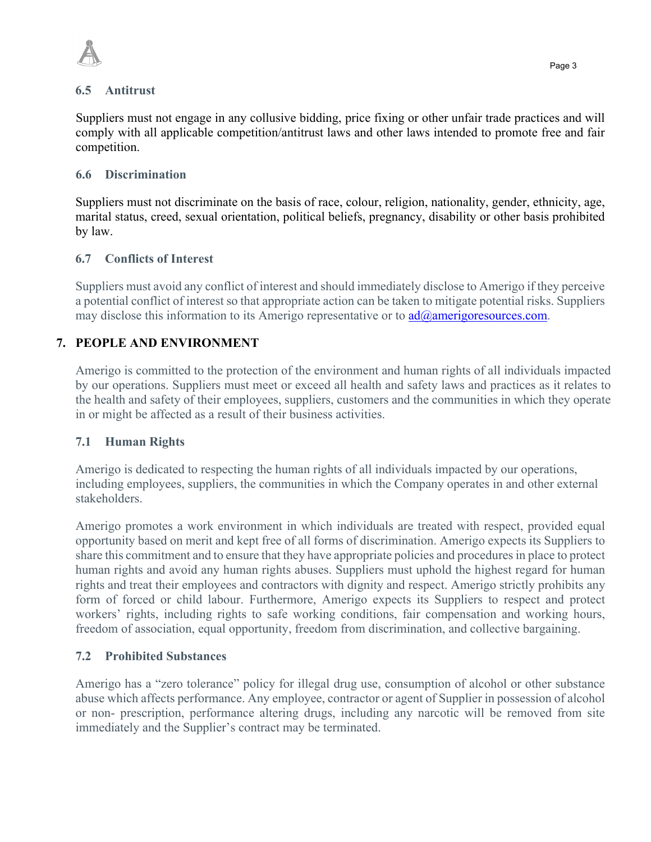



### **6.5 Antitrust**

Suppliers must not engage in any collusive bidding, price fixing or other unfair trade practices and will comply with all applicable competition/antitrust laws and other laws intended to promote free and fair competition.

## **6.6 Discrimination**

Suppliers must not discriminate on the basis of race, colour, religion, nationality, gender, ethnicity, age, marital status, creed, sexual orientation, political beliefs, pregnancy, disability or other basis prohibited by law.

## **6.7 Conflicts of Interest**

Suppliers must avoid any conflict of interest and should immediately disclose to Amerigo if they perceive a potential conflict of interest so that appropriate action can be taken to mitigate potential risks. Suppliers may disclose this information to its Amerigo representative or to  $\frac{ad(\hat{a})$  amerigoresources.com.

# **7. PEOPLE AND ENVIRONMENT**

Amerigo is committed to the protection of the environment and human rights of all individuals impacted by our operations. Suppliers must meet or exceed all health and safety laws and practices as it relates to the health and safety of their employees, suppliers, customers and the communities in which they operate in or might be affected as a result of their business activities.

## **7.1 Human Rights**

Amerigo is dedicated to respecting the human rights of all individuals impacted by our operations, including employees, suppliers, the communities in which the Company operates in and other external stakeholders.

Amerigo promotes a work environment in which individuals are treated with respect, provided equal opportunity based on merit and kept free of all forms of discrimination. Amerigo expects its Suppliers to share this commitment and to ensure that they have appropriate policies and procedures in place to protect human rights and avoid any human rights abuses. Suppliers must uphold the highest regard for human rights and treat their employees and contractors with dignity and respect. Amerigo strictly prohibits any form of forced or child labour. Furthermore, Amerigo expects its Suppliers to respect and protect workers' rights, including rights to safe working conditions, fair compensation and working hours, freedom of association, equal opportunity, freedom from discrimination, and collective bargaining.

## **7.2 Prohibited Substances**

Amerigo has a "zero tolerance" policy for illegal drug use, consumption of alcohol or other substance abuse which affects performance. Any employee, contractor or agent of Supplier in possession of alcohol or non- prescription, performance altering drugs, including any narcotic will be removed from site immediately and the Supplier's contract may be terminated.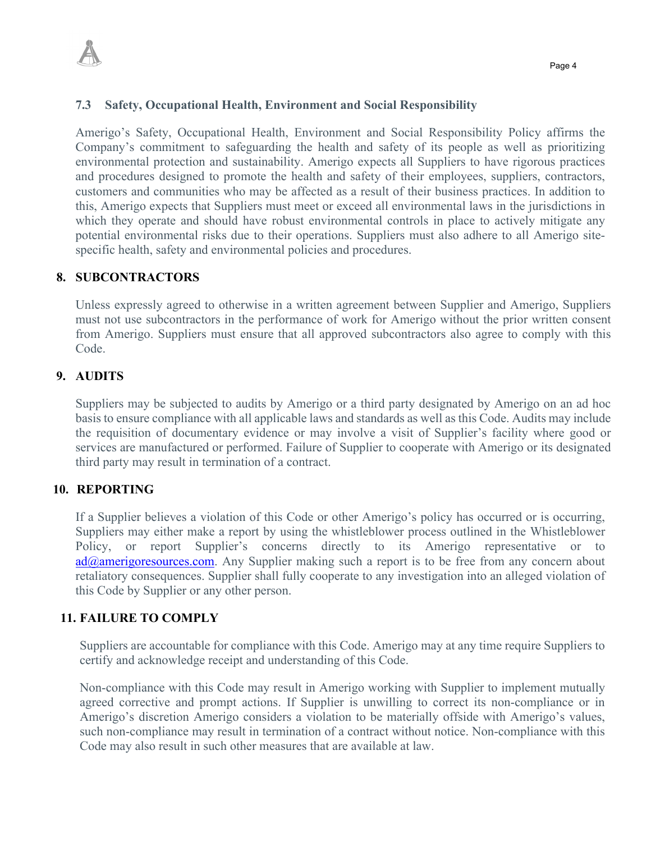

### **7.3 Safety, Occupational Health, Environment and Social Responsibility**

Amerigo's Safety, Occupational Health, Environment and Social Responsibility Policy affirms the Company's commitment to safeguarding the health and safety of its people as well as prioritizing environmental protection and sustainability. Amerigo expects all Suppliers to have rigorous practices and procedures designed to promote the health and safety of their employees, suppliers, contractors, customers and communities who may be affected as a result of their business practices. In addition to this, Amerigo expects that Suppliers must meet or exceed all environmental laws in the jurisdictions in which they operate and should have robust environmental controls in place to actively mitigate any potential environmental risks due to their operations. Suppliers must also adhere to all Amerigo sitespecific health, safety and environmental policies and procedures.

### **8. SUBCONTRACTORS**

Unless expressly agreed to otherwise in a written agreement between Supplier and Amerigo, Suppliers must not use subcontractors in the performance of work for Amerigo without the prior written consent from Amerigo. Suppliers must ensure that all approved subcontractors also agree to comply with this Code.

### **9. AUDITS**

Suppliers may be subjected to audits by Amerigo or a third party designated by Amerigo on an ad hoc basis to ensure compliance with all applicable laws and standards as well as this Code. Audits may include the requisition of documentary evidence or may involve a visit of Supplier's facility where good or services are manufactured or performed. Failure of Supplier to cooperate with Amerigo or its designated third party may result in termination of a contract.

#### **10. REPORTING**

If a Supplier believes a violation of this Code or other Amerigo's policy has occurred or is occurring, Suppliers may either make a report by using the whistleblower process outlined in the Whistleblower Policy, or report Supplier's concerns directly to its Amerigo representative or to  $ad@amerigoresources.com$ . Any Supplier making such a report is to be free from any concern about retaliatory consequences. Supplier shall fully cooperate to any investigation into an alleged violation of this Code by Supplier or any other person.

#### **11. FAILURE TO COMPLY**

Suppliers are accountable for compliance with this Code. Amerigo may at any time require Suppliers to certify and acknowledge receipt and understanding of this Code.

Non-compliance with this Code may result in Amerigo working with Supplier to implement mutually agreed corrective and prompt actions. If Supplier is unwilling to correct its non-compliance or in Amerigo's discretion Amerigo considers a violation to be materially offside with Amerigo's values, such non-compliance may result in termination of a contract without notice. Non-compliance with this Code may also result in such other measures that are available at law.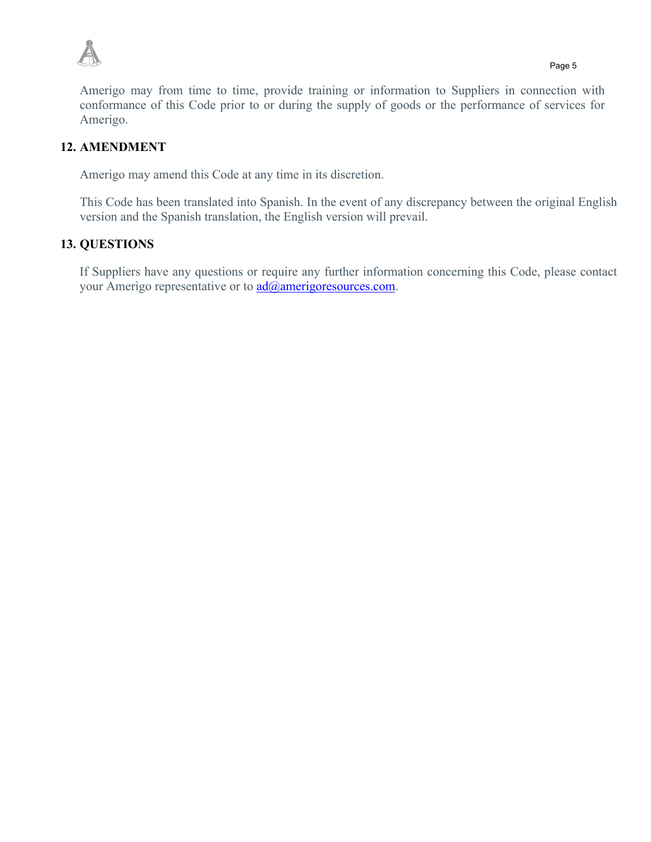

Amerigo may from time to time, provide training or information to Suppliers in connection with conformance of this Code prior to or during the supply of goods or the performance of services for Amerigo.

## **12. AMENDMENT**

Amerigo may amend this Code at any time in its discretion.

This Code has been translated into Spanish. In the event of any discrepancy between the original English version and the Spanish translation, the English version will prevail.

## **13. QUESTIONS**

If Suppliers have any questions or require any further information concerning this Code, please contact your Amerigo representative or to  $\text{ad}(\widehat{\omega}$ amerigoresources.com.